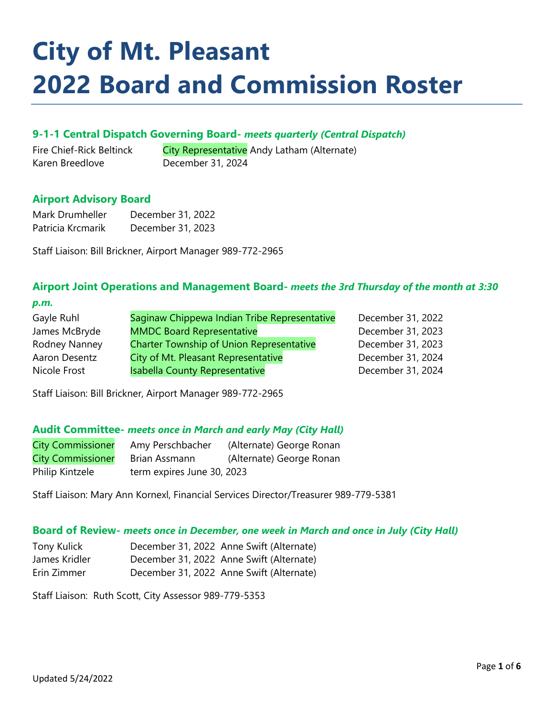# **City of Mt. Pleasant 2022 Board and Commission Roster**

#### **9-1-1 Central Dispatch Governing Board-** *meets quarterly (Central Dispatch)*

Fire Chief-Rick Beltinck City Representative Andy Latham (Alternate) Karen Breedlove December 31, 2024

#### **Airport Advisory Board**

| Mark Drumheller   | December 31, 2022 |
|-------------------|-------------------|
| Patricia Krcmarik | December 31, 2023 |

Staff Liaison: Bill Brickner, Airport Manager 989-772-2965

# **Airport Joint Operations and Management Board-** *meets the 3rd Thursday of the month at 3:30*

| ۰,          |        |
|-------------|--------|
| ۰.          |        |
| ta kalendar | $\sim$ |

| Saginaw Chippewa Indian Tribe Representative    | December 31, 2022 |
|-------------------------------------------------|-------------------|
| <b>MMDC Board Representative</b>                | December 31, 2023 |
| <b>Charter Township of Union Representative</b> | December 31, 2023 |
| City of Mt. Pleasant Representative             | December 31, 2024 |
| <b>Isabella County Representative</b>           | December 31, 2024 |
|                                                 |                   |

Staff Liaison: Bill Brickner, Airport Manager 989-772-2965

#### **Audit Committee-** *meets once in March and early May (City Hall)*

| <b>City Commissioner</b> | Amy Perschbacher           | (Alternate) George Ronan |
|--------------------------|----------------------------|--------------------------|
| <b>City Commissioner</b> | Brian Assmann              | (Alternate) George Ronan |
| Philip Kintzele          | term expires June 30, 2023 |                          |

Staff Liaison: Mary Ann Kornexl, Financial Services Director/Treasurer 989-779-5381

#### **Board of Review-** *meets once in December, one week in March and once in July (City Hall)*

| Tony Kulick   | December 31, 2022 Anne Swift (Alternate) |
|---------------|------------------------------------------|
| James Kridler | December 31, 2022 Anne Swift (Alternate) |
| Erin Zimmer   | December 31, 2022 Anne Swift (Alternate) |

Staff Liaison: Ruth Scott, City Assessor 989-779-5353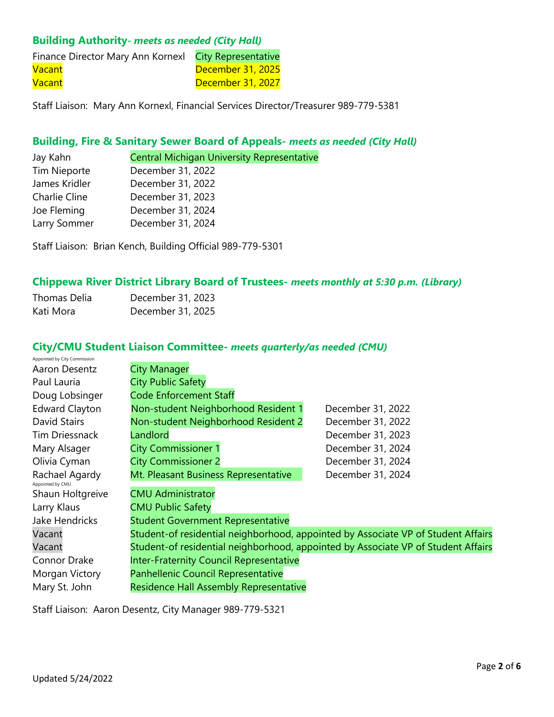# **Building Authority***- meets as needed (City Hall)*

| Finance Director Mary Ann Kornexl City Representative |                   |
|-------------------------------------------------------|-------------------|
| <b>Vacant</b>                                         | December 31, 2025 |
| <b>Vacant</b>                                         | December 31, 2027 |

Staff Liaison: Mary Ann Kornexl, Financial Services Director/Treasurer 989-779-5381

#### **Building, Fire & Sanitary Sewer Board of Appeals-** *meets as needed (City Hall)*

Jay Kahn **Central Michigan University Representative** 

| <b>Tim Nieporte</b> | December 31, 2022 |
|---------------------|-------------------|
| James Kridler       | December 31, 2022 |
| Charlie Cline       | December 31, 2023 |
| Joe Fleming         | December 31, 2024 |
| Larry Sommer        | December 31, 2024 |

Staff Liaison: Brian Kench, Building Official 989-779-5301

# **Chippewa River District Library Board of Trustees-** *meets monthly at 5:30 p.m. (Library)*

| Thomas Delia | December 31, 2023 |
|--------------|-------------------|
| Kati Mora    | December 31, 2025 |

# **City/CMU Student Liaison Committee-** *meets quarterly/as needed (CMU)*

| Appointed by City Commission       |                                                |                                                                                   |
|------------------------------------|------------------------------------------------|-----------------------------------------------------------------------------------|
| Aaron Desentz                      | <b>City Manager</b>                            |                                                                                   |
| Paul Lauria                        | <b>City Public Safety</b>                      |                                                                                   |
| Doug Lobsinger                     | <b>Code Enforcement Staff</b>                  |                                                                                   |
| <b>Edward Clayton</b>              | Non-student Neighborhood Resident 1            | December 31, 2022                                                                 |
| David Stairs                       | Non-student Neighborhood Resident 2            | December 31, 2022                                                                 |
| Tim Driessnack                     | Landlord                                       | December 31, 2023                                                                 |
| Mary Alsager                       | <b>City Commissioner 1</b>                     | December 31, 2024                                                                 |
| Olivia Cyman                       | <b>City Commissioner 2</b>                     | December 31, 2024                                                                 |
| Rachael Agardy<br>Appointed by CMU | Mt. Pleasant Business Representative           | December 31, 2024                                                                 |
| Shaun Holtgreive                   | <b>CMU Administrator</b>                       |                                                                                   |
| Larry Klaus                        | <b>CMU Public Safety</b>                       |                                                                                   |
| <b>Jake Hendricks</b>              | <b>Student Government Representative</b>       |                                                                                   |
| Vacant                             |                                                | Student-of residential neighborhood, appointed by Associate VP of Student Affairs |
| Vacant                             |                                                | Student-of residential neighborhood, appointed by Associate VP of Student Affairs |
| Connor Drake                       | <b>Inter-Fraternity Council Representative</b> |                                                                                   |
| Morgan Victory                     | Panhellenic Council Representative             |                                                                                   |
| Mary St. John                      | Residence Hall Assembly Representative         |                                                                                   |

Staff Liaison: Aaron Desentz, City Manager 989-779-5321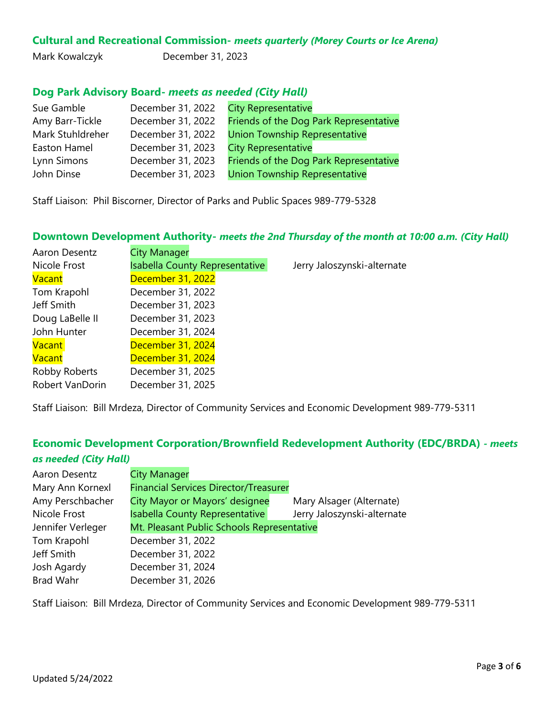# **Cultural and Recreational Commission-** *meets quarterly (Morey Courts or Ice Arena)*

Mark Kowalczyk December 31, 2023

# **Dog Park Advisory Board-** *meets as needed (City Hall)*

| Sue Gamble       | December 31, 2022 | <b>City Representative</b>             |
|------------------|-------------------|----------------------------------------|
| Amy Barr-Tickle  | December 31, 2022 | Friends of the Dog Park Representative |
| Mark Stuhldreher | December 31, 2022 | <b>Union Township Representative</b>   |
| Easton Hamel     | December 31, 2023 | <b>City Representative</b>             |
| Lynn Simons      | December 31, 2023 | Friends of the Dog Park Representative |
| John Dinse       | December 31, 2023 | <b>Union Township Representative</b>   |

Staff Liaison: Phil Biscorner, Director of Parks and Public Spaces 989-779-5328

#### **Downtown Development Authority-** *meets the 2nd Thursday of the month at 10:00 a.m. (City Hall)*

| Aaron Desentz   | <b>City Manager</b>                   |                             |
|-----------------|---------------------------------------|-----------------------------|
| Nicole Frost    | <b>Isabella County Representative</b> | Jerry Jaloszynski-alternate |
| Vacant          | December 31, 2022                     |                             |
| Tom Krapohl     | December 31, 2022                     |                             |
| Jeff Smith      | December 31, 2023                     |                             |
| Doug LaBelle II | December 31, 2023                     |                             |
| John Hunter     | December 31, 2024                     |                             |
| <b>Vacant</b>   | December 31, 2024                     |                             |
| Vacant          | December 31, 2024                     |                             |
| Robby Roberts   | December 31, 2025                     |                             |
| Robert VanDorin | December 31, 2025                     |                             |

Staff Liaison: Bill Mrdeza, Director of Community Services and Economic Development 989-779-5311

# **Economic Development Corporation/Brownfield Redevelopment Authority (EDC/BRDA)** *- meets as needed (City Hall)*

| Aaron Desentz     | <b>City Manager</b>                          |                             |
|-------------------|----------------------------------------------|-----------------------------|
| Mary Ann Kornexl  | <b>Financial Services Director/Treasurer</b> |                             |
| Amy Perschbacher  | City Mayor or Mayors' designee               | Mary Alsager (Alternate)    |
| Nicole Frost      | Isabella County Representative               | Jerry Jaloszynski-alternate |
| Jennifer Verleger | Mt. Pleasant Public Schools Representative   |                             |
| Tom Krapohl       | December 31, 2022                            |                             |
| Jeff Smith        | December 31, 2022                            |                             |
| Josh Agardy       | December 31, 2024                            |                             |
| Brad Wahr         | December 31, 2026                            |                             |

Staff Liaison: Bill Mrdeza, Director of Community Services and Economic Development 989-779-5311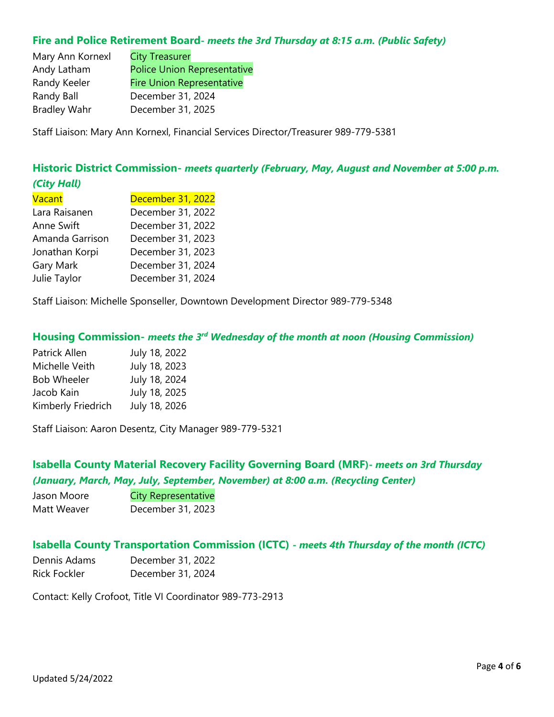#### **Fire and Police Retirement Board-** *meets the 3rd Thursday at 8:15 a.m. (Public Safety)*

| <b>City Treasurer</b>              |
|------------------------------------|
| <b>Police Union Representative</b> |
| <b>Fire Union Representative</b>   |
| December 31, 2024                  |
| December 31, 2025                  |
|                                    |

Staff Liaison: Mary Ann Kornexl, Financial Services Director/Treasurer 989-779-5381

# **Historic District Commission-** *meets quarterly (February, May, August and November at 5:00 p.m. (City Hall)*

| Vacant          | December 31, 2022 |
|-----------------|-------------------|
| Lara Raisanen   | December 31, 2022 |
| Anne Swift      | December 31, 2022 |
| Amanda Garrison | December 31, 2023 |
| Jonathan Korpi  | December 31, 2023 |
| Gary Mark       | December 31, 2024 |
| Julie Taylor    | December 31, 2024 |

Staff Liaison: Michelle Sponseller, Downtown Development Director 989-779-5348

# **Housing Commission-** *meets the 3rd Wednesday of the month at noon (Housing Commission)*

| July 18, 2022 |
|---------------|
| July 18, 2023 |
| July 18, 2024 |
| July 18, 2025 |
| July 18, 2026 |
|               |

Staff Liaison: Aaron Desentz, City Manager 989-779-5321

# **Isabella County Material Recovery Facility Governing Board (MRF)-** *meets on 3rd Thursday (January, March, May, July, September, November) at 8:00 a.m. (Recycling Center)*

| Jason Moore | <b>City Representative</b> |
|-------------|----------------------------|
| Matt Weaver | December 31, 2023          |

#### **Isabella County Transportation Commission (ICTC) -** *meets 4th Thursday of the month (ICTC)*

| Dennis Adams        | December 31, 2022 |
|---------------------|-------------------|
| <b>Rick Fockler</b> | December 31, 2024 |

Contact: Kelly Crofoot, Title VI Coordinator 989-773-2913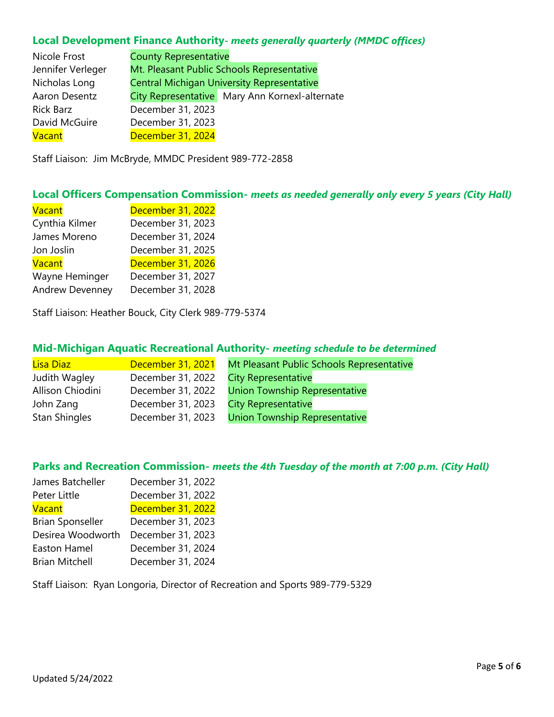## **Local Development Finance Authority-** *meets generally quarterly (MMDC offices)*

| Nicole Frost      | <b>County Representative</b> |                                                   |
|-------------------|------------------------------|---------------------------------------------------|
| Jennifer Verleger |                              | Mt. Pleasant Public Schools Representative        |
| Nicholas Long     |                              | <b>Central Michigan University Representative</b> |
| Aaron Desentz     |                              | City Representative   Mary Ann Kornexl-alternate  |
| <b>Rick Barz</b>  | December 31, 2023            |                                                   |
| David McGuire     | December 31, 2023            |                                                   |
| Vacant            | December 31, 2024            |                                                   |

Staff Liaison: Jim McBryde, MMDC President 989-772-2858

## **Local Officers Compensation Commission-** *meets as needed generally only every 5 years (City Hall)*

| <b>Vacant</b>          | December 31, 2022 |
|------------------------|-------------------|
| Cynthia Kilmer         | December 31, 2023 |
| James Moreno           | December 31, 2024 |
| Jon Joslin             | December 31, 2025 |
| <b>Vacant</b>          | December 31, 2026 |
| Wayne Heminger         | December 31, 2027 |
| <b>Andrew Devenney</b> | December 31, 2028 |

Staff Liaison: Heather Bouck, City Clerk 989-779-5374

## **Mid-Michigan Aquatic Recreational Authority-** *meeting schedule to be determined*

| Lisa Diaz            | December 31, 2021 | Mt Pleasant Public Schools Representative |
|----------------------|-------------------|-------------------------------------------|
| Judith Wagley        | December 31, 2022 | <b>City Representative</b>                |
| Allison Chiodini     | December 31, 2022 | <b>Union Township Representative</b>      |
| John Zang            | December 31, 2023 | <b>City Representative</b>                |
| <b>Stan Shingles</b> | December 31, 2023 | <b>Union Township Representative</b>      |

# **Parks and Recreation Commission-** *meets the 4th Tuesday of the month at 7:00 p.m. (City Hall)*

| James Batcheller        | December 31, 2022 |
|-------------------------|-------------------|
| Peter Little            | December 31, 2022 |
| <b>Vacant</b>           | December 31, 2022 |
| <b>Brian Sponseller</b> | December 31, 2023 |
| Desirea Woodworth       | December 31, 2023 |
| Easton Hamel            | December 31, 2024 |
| <b>Brian Mitchell</b>   | December 31, 2024 |

Staff Liaison: Ryan Longoria, Director of Recreation and Sports 989-779-5329